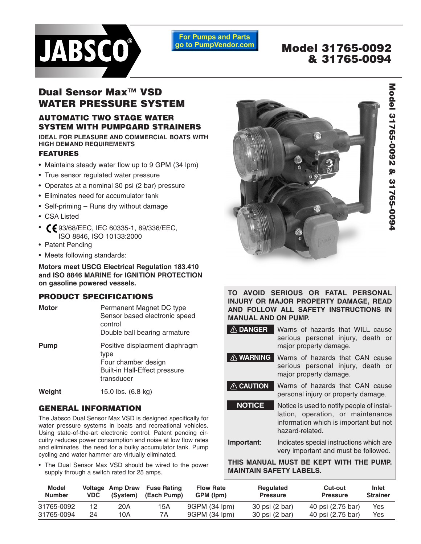

**For Pumps and Parts** go to PumpVendor.com

# **Model 31765-0092 & 31765-0094**

# **Dual Sensor Max™ VSD WATER PRESSURE SYSTEM**

## **AUTOMATIC TWO STAGE WATER SYSTEM WITH PUMPGARD STRAINERS**

**IDEAL FOR PLEASURE AND COMMERCIAL BOATS WITH HIGH DEMAND REQUIREMENTS**

#### **FEATURES**

- Maintains steady water flow up to 9 GPM (34 lpm)
- True sensor regulated water pressure
- Operates at a nominal 30 psi (2 bar) pressure
- Eliminates need for accumulator tank
- Self-priming Runs dry without damage
- CSA Listed
- **(£**93/68/EEC, IEC 60335-1, 89/336/EEC, ISO 8846, ISO 10133:2000
- Patent Pending
- Meets following standards:

**Motors meet USCG Electrical Regulation 183.410 and ISO 8846 MARINE for IGNITION PROTECTION on gasoline powered vessels.**

### **PRODUCT SPECIFICATIONS**

| Motor  | Permanent Magnet DC type<br>Sensor based electronic speed<br>control<br>Double ball bearing armature                |
|--------|---------------------------------------------------------------------------------------------------------------------|
| Pump   | Positive displacment diaphragm<br>type<br>Four chamber design<br><b>Built-in Hall-Effect pressure</b><br>transducer |
| Weight | 15.0 lbs. (6.8 kg)                                                                                                  |

# **GENERAL INFORMATION**

The Jabsco Dual Sensor Max VSD is designed specifically for water pressure systems in boats and recreational vehicles. Using state-of-the-art electronic control. Patent pending circuitry reduces power consumption and noise at low flow rates and eliminates the need for a bulky accumulator tank. Pump cycling and water hammer are virtually eliminated.

• The Dual Sensor Max VSD should be wired to the power supply through a switch rated for 25 amps.



**TO AVOID SERIOUS OR FATAL PERSONAL INJURY OR MAJOR PROPERTY DAMAGE, READ AND FOLLOW ALL SAFETY INSTRUCTIONS IN MANUAL AND ON PUMP.**

**DANGER** Warns of hazards that WILL cause serious personal injury, death or major property damage.

**WARNING** Warns of hazards that CAN cause serious personal injury, death or major property damage.

Warns of hazards that CAN cause personal injury or property damage. **CAUTION**

Notice is used to notify people of installation, operation, or maintenance information which is important but not hazard-related. **NOTICE**

**Important**: Indicates special instructions which are very important and must be followed.

**THIS MANUAL MUST BE KEPT WITH THE PUMP. MAINTAIN SAFETY LABELS.**

| <b>Model</b><br><b>Number</b> | <b>VDC</b> | (System) | Voltage Amp Draw Fuse Rating<br>(Each Pump) | <b>Flow Rate</b><br>GPM (lpm) | <b>Regulated</b><br><b>Pressure</b> | Cut-out<br><b>Pressure</b> | Inlet<br><b>Strainer</b> |
|-------------------------------|------------|----------|---------------------------------------------|-------------------------------|-------------------------------------|----------------------------|--------------------------|
| 31765-0092                    | 12         | 20A      | 15A                                         | 9GPM (34 lpm)                 | 30 psi (2 bar)                      | 40 psi (2.75 bar)          | Yes                      |
| 31765-0094                    | 24         | 10A      | 7Α                                          | 9GPM (34 lpm)                 | 30 psi (2 bar)                      | 40 psi (2.75 bar)          | Yes                      |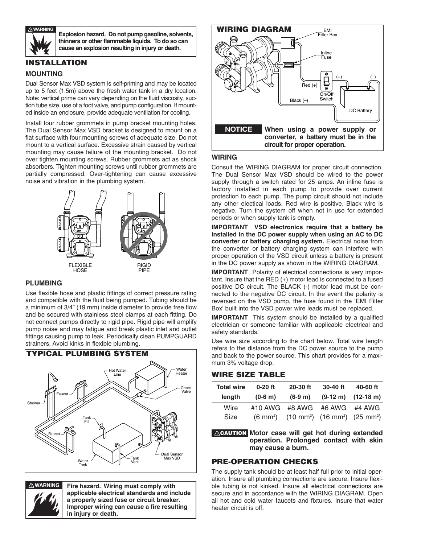

**Explosion hazard. Do not pump gasoline, solvents, thinners or other flammable liquids. To do so can cause an explosion resulting in injury or death.**

#### **INSTALLATION**

#### **MOUNTING**

Dual Sensor Max VSD system is self-priming and may be located up to 5 feet (1.5m) above the fresh water tank in a dry location. Note: vertical prime can vary depending on the fluid viscosity, suction tube size, use of a foot valve, and pump configuration. If mounted inside an enclosure, provide adequate ventilation for cooling.

Install four rubber grommets in pump bracket mounting holes. The Dual Sensor Max VSD bracket is designed to mount on a flat surface with four mounting screws of adequate size. Do not mount to a vertical surface. Excessive strain caused by vertical mounting may cause failure of the mounting bracket. Do not over tighten mounting screws. Rubber grommets act as shock absorbers. Tighten mounting screws until rubber grommets are partially compressed. Over-tightening can cause excessive noise and vibration in the plumbing system.



#### **PLUMBING**

Use flexible hose and plastic fittings of correct pressure rating and compatible with the fluid being pumped. Tubing should be a minimum of 3/4" (19 mm) inside diameter to provide free flow and be secured with stainless steel clamps at each fitting. Do not connect pumps directly to rigid pipe. Rigid pipe will amplify pump noise and may fatigue and break plastic inlet and outlet fittings causing pump to leak. Periodically clean PUMPGUARD strainers. Avoid kinks in flexible plumbing.





**WARNING Fire hazard. Wiring must comply with applicable electrical standards and include a properly sized fuse or circuit breaker. Improper wiring can cause a fire resulting in injury or death.**



#### **WIRING**

Consult the WIRING DIAGRAM for proper circuit connection. The Dual Sensor Max VSD should be wired to the power supply through a switch rated for 25 amps. An inline fuse is factory installed in each pump to provide over current protection to each pump. The pump circuit should not include any other electical loads. Red wire is positive. Black wire is negative. Turn the system off when not in use for extended periods or when supply tank is empty.

**IMPORTANT VSD electronics require that a battery be installed in the DC power supply when using an AC to DC converter or battery charging system.** Electrical noise from the converter or battery charging system can interfere with proper operation of the VSD circuit unless a battery is present in the DC power supply as shown in the WIRING DIAGRAM.

**IMPORTANT** Polarity of electrical connections is very important. Insure that the RED (+) motor lead is connected to a fused positive DC circuit. The BLACK (-) motor lead must be connected to the negative DC circuit. In the event the polarity is reversed on the VSD pump, the fuse found in the 'EMI Filter Box' built into the VSD power wire leads must be replaced.

**IMPORTANT** This system should be installed by a qualified electrician or someone familiar with applicable electrical and safety standards.

Use wire size according to the chart below. Total wire length refers to the distance from the DC power source to the pump and back to the power source. This chart provides for a maximum 3% voltage drop.

#### **WIRE SIZE TABLE**

| $#10$ AWG | #6 AWG             | #4 AWG                                                                |
|-----------|--------------------|-----------------------------------------------------------------------|
|           | $(6 \text{ mm}^2)$ | #8 AWG<br>$(10 \text{ mm}^2)$ $(16 \text{ mm}^2)$ $(25 \text{ mm}^2)$ |

**Motor case will get hot during extended CAUTION operation. Prolonged contact with skin may cause a burn.**

#### **PRE-OPERATION CHECKS**

The supply tank should be at least half full prior to initial operation. Insure all plumbing connections are secure. Insure flexible tubing is not kinked. Insure all electrical connections are secure and in accordance with the WIRING DIAGRAM. Open all hot and cold water faucets and fixtures. Insure that water heater circuit is off.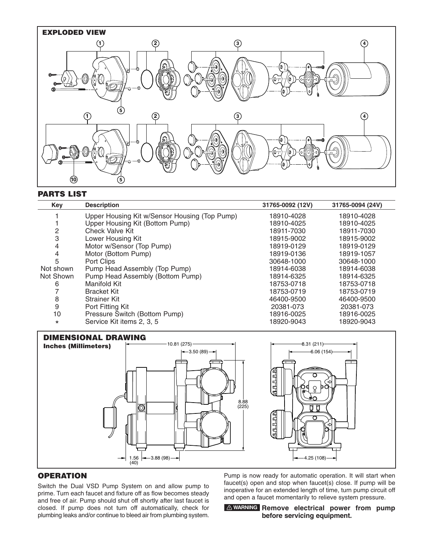

#### **PARTS LIST**

| Key       | <b>Description</b>                            | 31765-0092 (12V) | 31765-0094 (24V) |
|-----------|-----------------------------------------------|------------------|------------------|
|           | Upper Housing Kit w/Sensor Housing (Top Pump) | 18910-4028       | 18910-4028       |
|           | Upper Housing Kit (Bottom Pump)               | 18910-4025       | 18910-4025       |
| 2         | Check Valve Kit                               | 18911-7030       | 18911-7030       |
| 3         | Lower Housing Kit                             | 18915-9002       | 18915-9002       |
| 4         | Motor w/Sensor (Top Pump)                     | 18919-0129       | 18919-0129       |
| 4         | Motor (Bottom Pump)                           | 18919-0136       | 18919-1057       |
| 5         | Port Clips                                    | 30648-1000       | 30648-1000       |
| Not shown | Pump Head Assembly (Top Pump)                 | 18914-6038       | 18914-6038       |
| Not Shown | Pump Head Assembly (Bottom Pump)              | 18914-6325       | 18914-6325       |
| 6         | Manifold Kit                                  | 18753-0718       | 18753-0718       |
|           | <b>Bracket Kit</b>                            | 18753-0719       | 18753-0719       |
| 8         | <b>Strainer Kit</b>                           | 46400-9500       | 46400-9500       |
| 9         | Port Fitting Kit                              | 20381-073        | 20381-073        |
| 10        | Pressure Switch (Bottom Pump)                 | 18916-0025       | 18916-0025       |
| $\star$   | Service Kit items 2, 3, 5                     | 18920-9043       | 18920-9043       |



#### **OPERATION**

Switch the Dual VSD Pump System on and allow pump to prime. Turn each faucet and fixture off as flow becomes steady and free of air. Pump should shut off shortly after last faucet is closed. If pump does not turn off automatically, check for plumbing leaks and/or continue to bleed air from plumbing system.

Pump is now ready for automatic operation. It will start when faucet(s) open and stop when faucet(s) close. If pump will be inoperative for an extended length of time, turn pump circuit off and open a faucet momentarily to relieve system pressure.

#### **Remove electrical power from pump WARNINGbefore servicing equipment.**